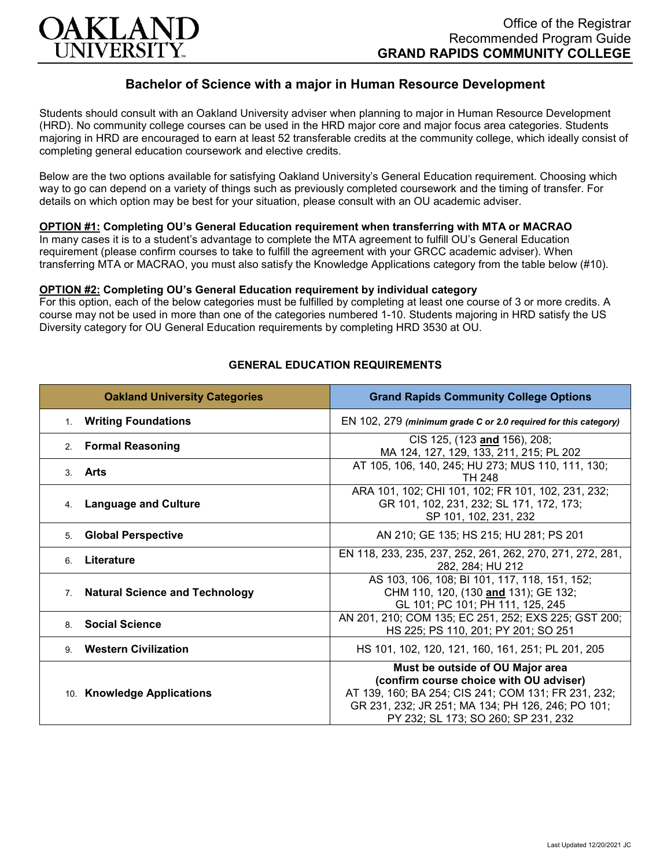

# **Bachelor of Science with a major in Human Resource Development**

Students should consult with an Oakland University adviser when planning to major in Human Resource Development (HRD). No community college courses can be used in the HRD major core and major focus area categories. Students majoring in HRD are encouraged to earn at least 52 transferable credits at the community college, which ideally consist of completing general education coursework and elective credits.

Below are the two options available for satisfying Oakland University's General Education requirement. Choosing which way to go can depend on a variety of things such as previously completed coursework and the timing of transfer. For details on which option may be best for your situation, please consult with an OU academic adviser.

## **OPTION #1: Completing OU's General Education requirement when transferring with MTA or MACRAO**

In many cases it is to a student's advantage to complete the MTA agreement to fulfill OU's General Education requirement (please confirm courses to take to fulfill the agreement with your GRCC academic adviser). When transferring MTA or MACRAO, you must also satisfy the Knowledge Applications category from the table below (#10).

#### **OPTION #2: Completing OU's General Education requirement by individual category**

For this option, each of the below categories must be fulfilled by completing at least one course of 3 or more credits. A course may not be used in more than one of the categories numbered 1-10. Students majoring in HRD satisfy the US Diversity category for OU General Education requirements by completing HRD 3530 at OU.

| <b>Oakland University Categories</b>                    | <b>Grand Rapids Community College Options</b>                                                                                                                                                                                  |
|---------------------------------------------------------|--------------------------------------------------------------------------------------------------------------------------------------------------------------------------------------------------------------------------------|
| 1. Writing Foundations                                  | EN 102, 279 (minimum grade C or 2.0 required for this category)                                                                                                                                                                |
| <b>Formal Reasoning</b><br>2.                           | CIS 125, (123 and 156), 208;<br>MA 124, 127, 129, 133, 211, 215; PL 202                                                                                                                                                        |
| 3. Arts                                                 | AT 105, 106, 140, 245; HU 273; MUS 110, 111, 130;<br><b>TH 248</b>                                                                                                                                                             |
| <b>Language and Culture</b><br>4.                       | ARA 101, 102; CHI 101, 102; FR 101, 102, 231, 232;<br>GR 101, 102, 231, 232; SL 171, 172, 173;<br>SP 101, 102, 231, 232                                                                                                        |
| <b>Global Perspective</b><br>5.                         | AN 210; GE 135; HS 215; HU 281; PS 201                                                                                                                                                                                         |
| Literature<br>6                                         | EN 118, 233, 235, 237, 252, 261, 262, 270, 271, 272, 281,<br>282, 284; HU 212                                                                                                                                                  |
| <b>Natural Science and Technology</b><br>7 <sup>1</sup> | AS 103, 106, 108; BI 101, 117, 118, 151, 152;<br>CHM 110, 120, (130 and 131); GE 132;<br>GL 101; PC 101; PH 111, 125, 245                                                                                                      |
| <b>Social Science</b><br>8                              | AN 201, 210; COM 135; EC 251, 252; EXS 225; GST 200;<br>HS 225; PS 110, 201; PY 201; SO 251                                                                                                                                    |
| <b>Western Civilization</b><br>9                        | HS 101, 102, 120, 121, 160, 161, 251; PL 201, 205                                                                                                                                                                              |
| 10. Knowledge Applications                              | Must be outside of OU Major area<br>(confirm course choice with OU adviser)<br>AT 139, 160; BA 254; CIS 241; COM 131; FR 231, 232;<br>GR 231, 232; JR 251; MA 134; PH 126, 246; PO 101;<br>PY 232; SL 173; SO 260; SP 231, 232 |

## **GENERAL EDUCATION REQUIREMENTS**